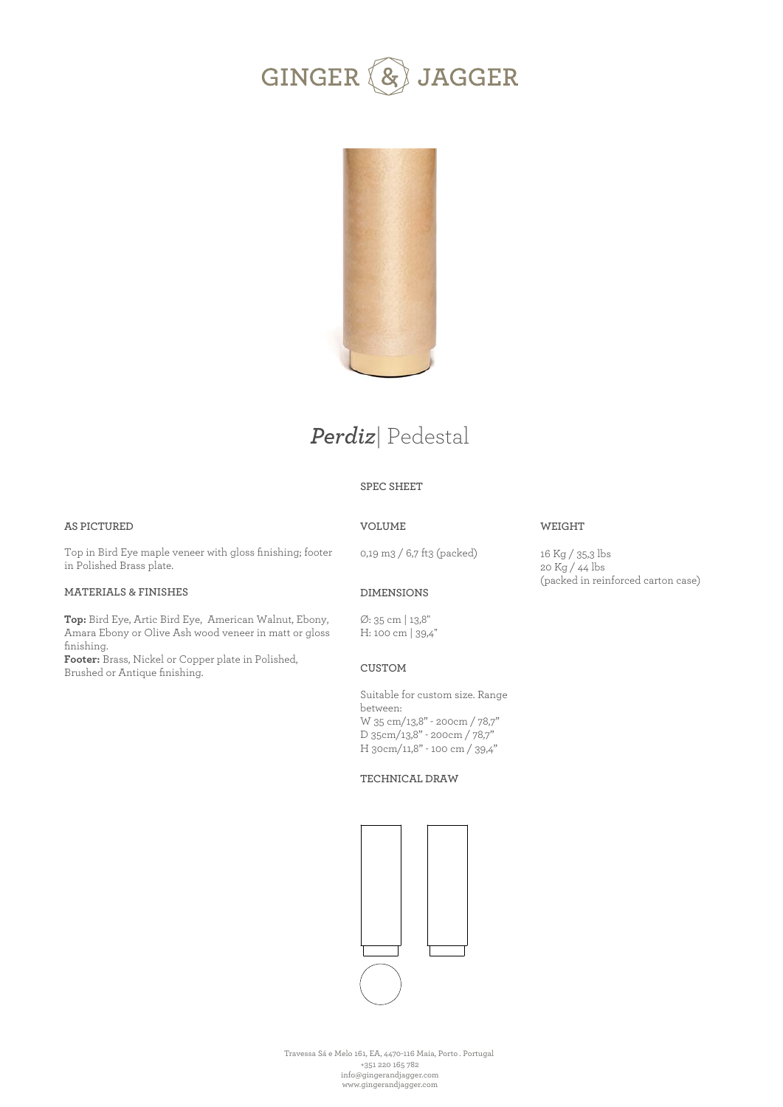



# *Perdiz*| Pedestal

### **SPEC SHEET**

### **AS PICTURED**

## **VOLUME**

Top in Bird Eye maple veneer with gloss finishing; footer in Polished Brass plate.

### **MATERIALS & FINISHES**

**Top:** Bird Eye, Artic Bird Eye, American Walnut, Ebony, Amara Ebony or Olive Ash wood veneer in matt or gloss finishing.

**Footer:** Brass, Nickel or Copper plate in Polished, Brushed or Antique finishing.

0,19 m3 / 6,7 ft3 (packed)

16 Kg / 35,3 lbs 20 Kg / 44 lbs (packed in reinforced carton case)

**WEIGHT** 

### **DIMENSIONS**

Ø: 35 cm | 13,8'' H: 100 cm | 39,4''

### **CUSTOM**

Suitable for custom size. Range between: W 35 cm/13,8" - 200cm / 78,7" D 35cm/13,8" - 200cm / 78,7" H 30cm/11,8" - 100 cm / 39,4"

#### **TECHNICAL DRAW**



Travessa Sá e Melo 161, EA, 4470-116 Maia, Porto . Portugal +351 220 165 782 info@gingerandjagger.com www.gingerandjagger.com